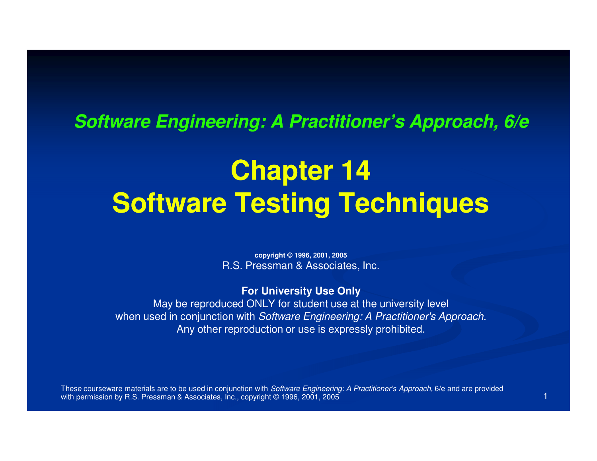#### **Software Engineering: A Practitioner's Approach, 6/e**

# **Chapter 14Software Testing Techniques**

**copyright © 1996, 2001, 2005**R.S. Pressman & Associates, Inc.

#### **For University Use Only**

 May be reproduced ONLY for student use at the university levelwhen used in conjunction with Software Engineering: A Practitioner's Approach. Any other reproduction or use is expressly prohibited.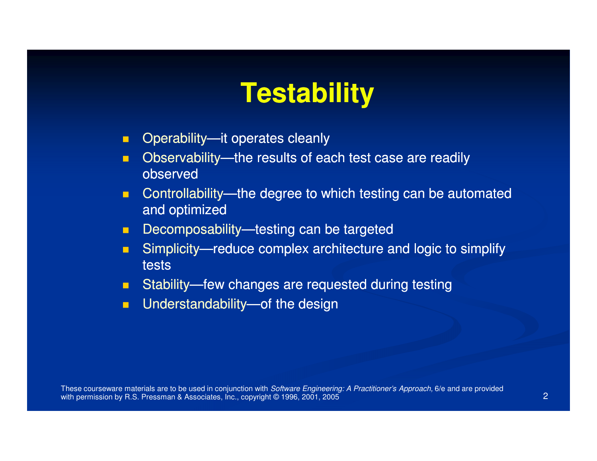## **Testability**

- $\mathbf{m}$  . Operability—it operates cleanly
- $\blacksquare$ Observability—the results of each test case are readily observed
- **Controllability—the degree to which testing can be automated**  $\blacksquare$ and optimized
- **Decomposability—testing can be targeted**  $\blacksquare$
- $\blacksquare$ Simplicity—reduce complex architecture and logic to simplify tests
- $\blacksquare$ **Budge Stability—few changes are requested during testing**
- $\blacksquare$ **Dumark Understandability—of the design**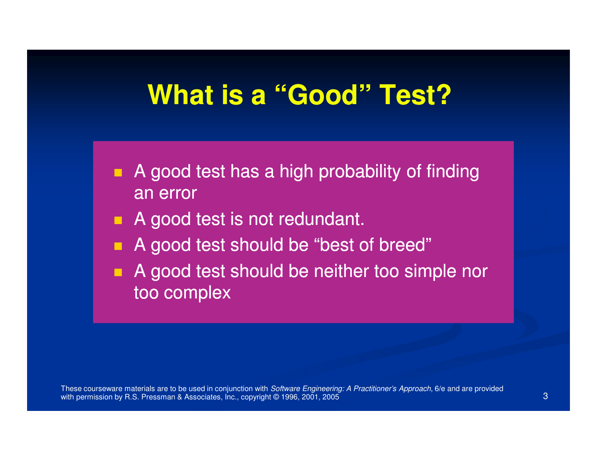### **What is a "Good" Test?**

- п A good test has a high probability of finding an error
- A good test is not redundant.
- A good test should be "best of breed"
- $\blacksquare$  A good test should be neither too simple nor too complex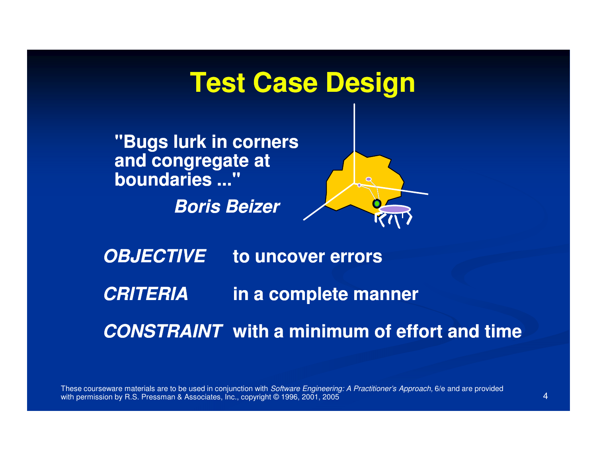#### **Test Case Design**

**"Bugs lurk in corners and congregate at boundaries ..."**

**Boris Beizer**



**OBJECTIVECRITERIACONSTRAINTwith a minimum of effort and timeto uncover errorsin a complete manner**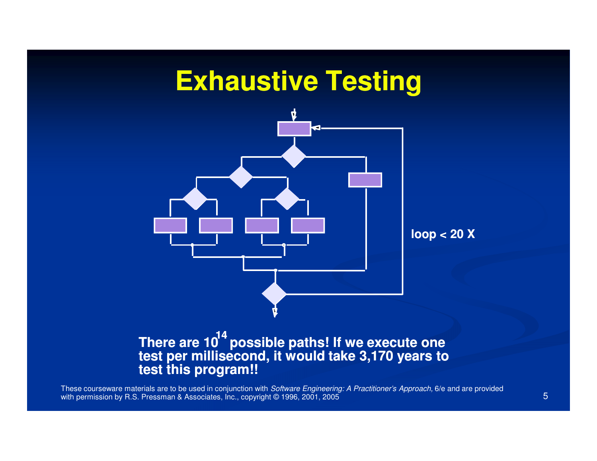#### **Exhaustive Testing**



#### There are 10<sup>・・</sup>possible paths! If we execute one<br>test per millisecond, it would take 3,170 years to **test this program!!14**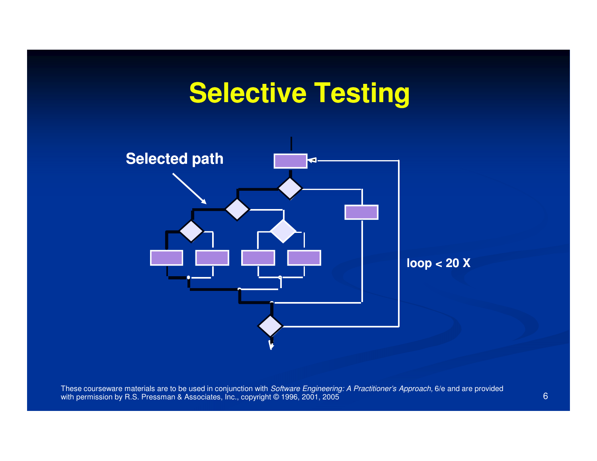### **Selective Testing**

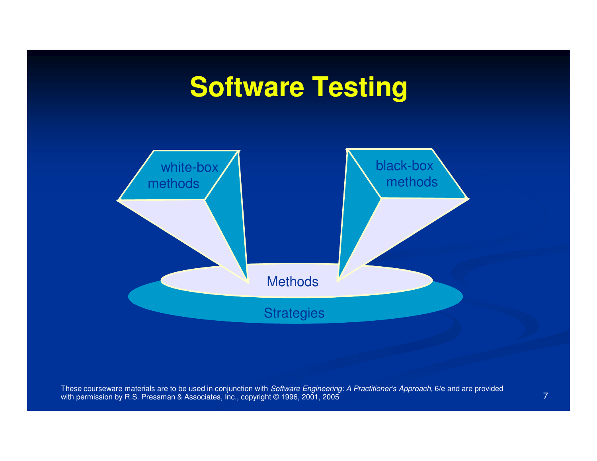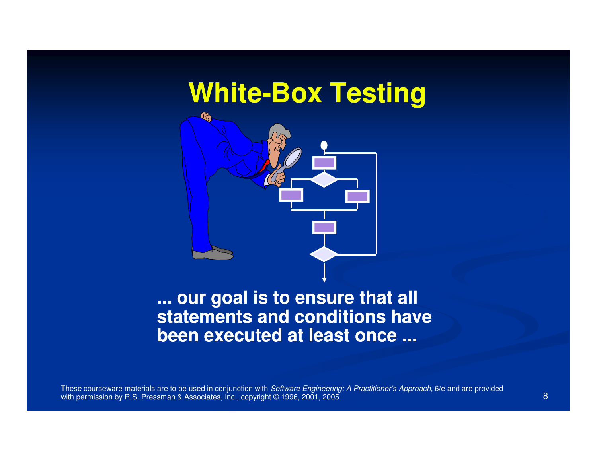# **White-Box Testing**



#### **... our goal is to ensure that all statements and conditions have been executed at least once ...**

These courseware materials are to be used in conjunction with *Software Engineering: A Practitioner's Approach,* 6/e and are provided with permission by R.S. Pressman & Associates, Inc., copyright © 1996, 2001, 2005 5 (1988) - 1994 (1995) - 1995 (1996) - 1995 (1996) - 1995 (1996) - 1995 (1996) - 1996 (1997) - 1996 (1997) - 1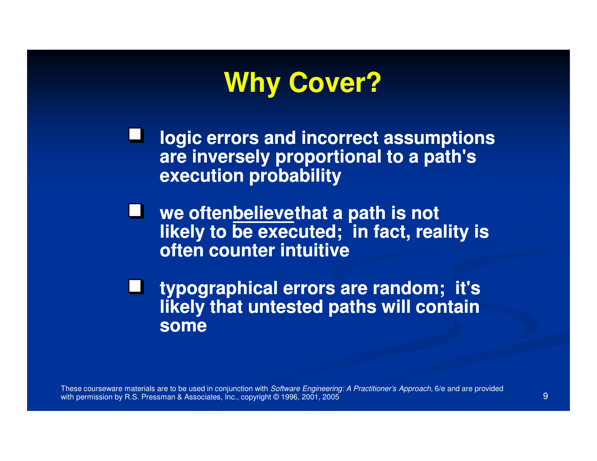

**logic errors and incorrect assumptions are inversely proportional to a path's execution probability**

**we often believe believethat a path is not likely to be executed; in fact, reality is often counter intuitive**

**typographical errors are random; it's likely that untested paths will contain some** 

These courseware materials are to be used in conjunction with *Software Engineering: A Practitioner's Approach,* 6/e and are provided with permission by R.S. Pressman & Associates, Inc., copyright © 1996, 2001, 20055 (1994) - Paul Barbara, politica est anticolaris (1994) - Paul Barbara, politica est anticolaris (1994)<br>1990 - Paul Barbara, politica est anticolaris (1995) - Paul Barbara, politica est anticolaris (1996) - Paul B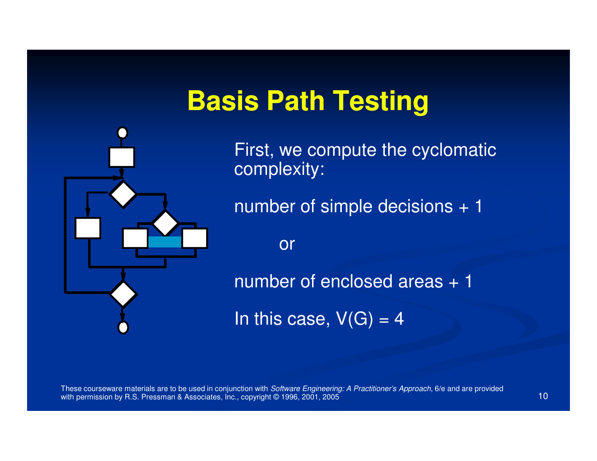## **Basis Path Testing**



First, we compute the cyclomatic complexity:

number of simple decisions + 1

or

number of enclosed areas + 1

In this case,  $V(G) = 4$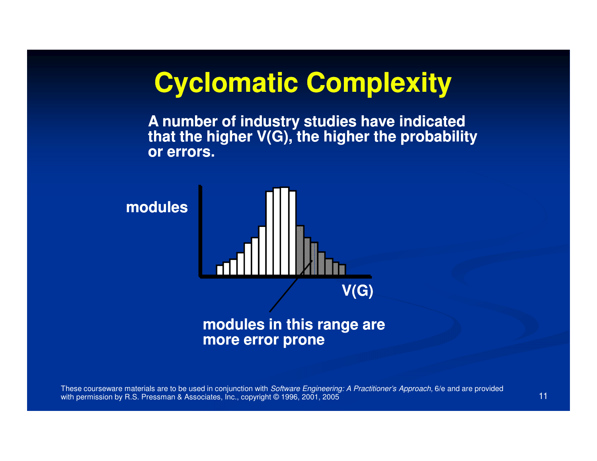### **Cyclomatic Complexity**

**A number of industry studies have indicated that the higher V(G), the higher the probability or errors.**

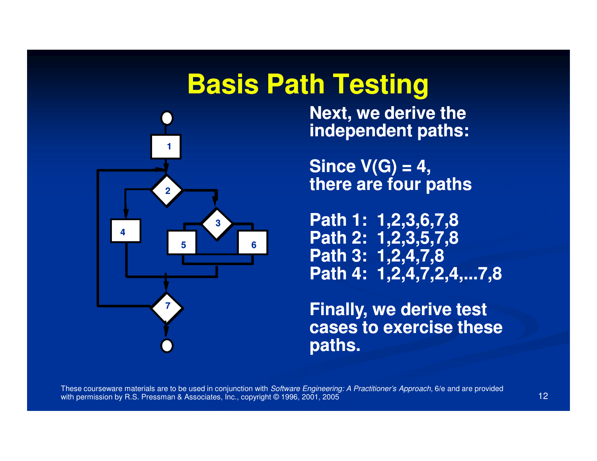#### **Basis Path Testing**



 **Next, we derive the independent paths:**

**Since V(G) = 4,there are four paths**

**Path 1: 1,2,3,6,7,8 Path 2: 1,2,3,5,7,8Path 3: 1,2,4,7,8Path 4: 1,2,4,7,2,4,...7,8**

**Finally, we derive test cases to exercise these paths.**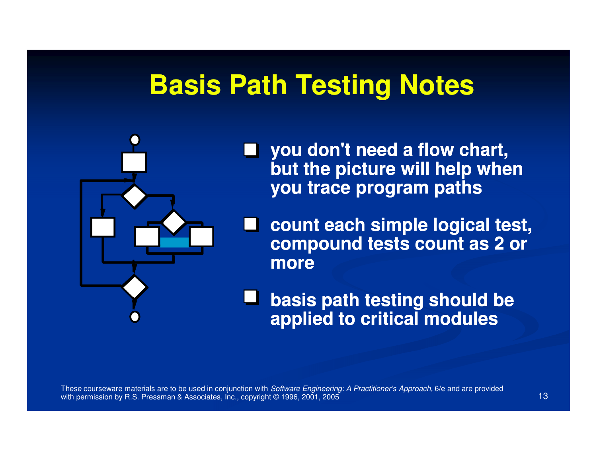#### **Basis Path Testing Notes**



- **you don't need a flow chart, but the picture will help when you trace program paths**
- **count each simple logical test, compound tests count as 2 or more**

**basis path testing should be applied to critical modules**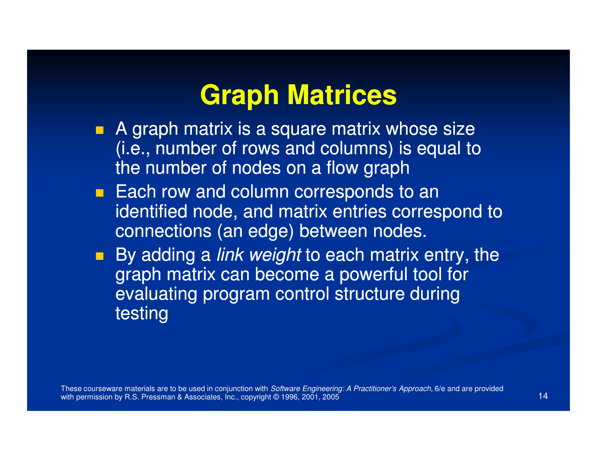### **Graph Matrices**

- A graph matrix is a square matrix whose size  $\mathcal{L}_{\mathcal{A}}$ (i.e., number of rows and columns) is equal to the number of nodes on a flow graph
- **Each row and column corresponds to an** identified node, and matrix entries correspond to connections (an edge) between nodes.
- By adding a *link weight* to each matrix entry, the graph matrix can become a powerful tool for evaluating program control structure during testing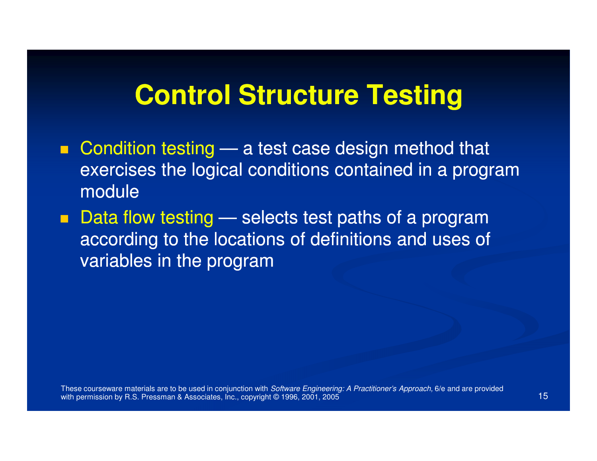### **Control Structure Testing**

- $\blacksquare$ ■ Condition testing exercises the logical conditions contained in a program **All Contracts**  a test case design method that module
- Data flow testing according to the locations of definitions and uses of selects test paths of a program variables in the program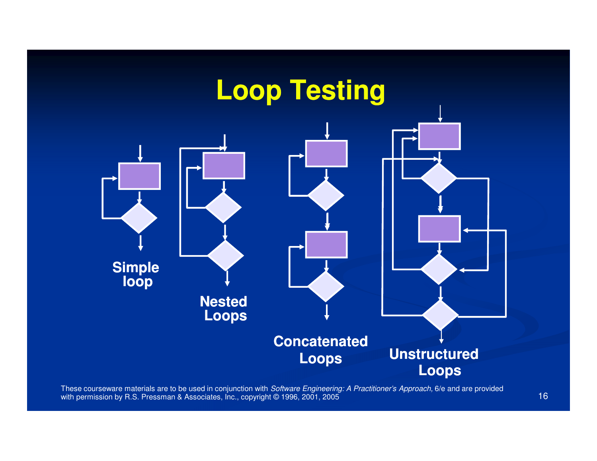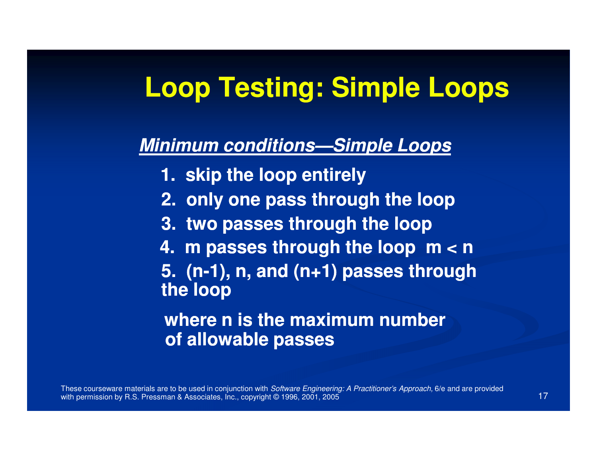### **Loop Testing: Simple Loops**

#### **Minimum conditions conditions—Simple Loops Simple**

- **1. skip the loop entirely**
- **2. only one pass through the loop**
- **3. two passes through the loop**
- **4. m passes through the loop m < n**
- 5. (n-1), n, and (n+1) passes through **the loop**

#### **where n is the maximum number of allowable passes**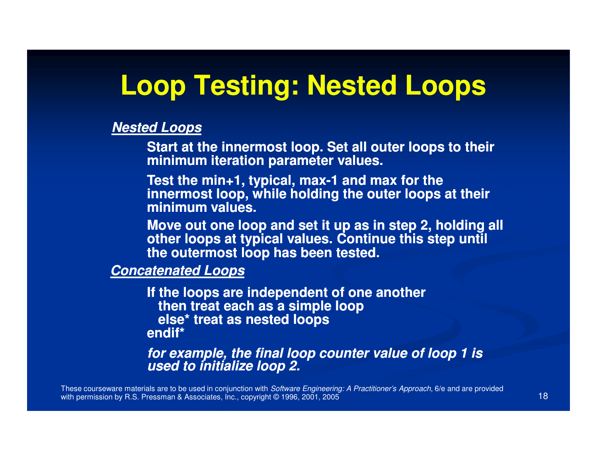#### **Loop Testing: Nested Loops**

#### **Nested Loops**

**Start at the innermost loop. Set all outer loops to their minimum iteration parameter values.**

**Test the min+1, typical, max-1 and max for the 10 max for the 10 max for the 10 max of the 10 max of the 10 max of the 10 max of the 10 max of the 10 max of the 10 max of the 10 max of the 10 max of the 10 max of the 10 m innermost loop, while holding the outer loops at their minimum values.**

**Move out one loop and set it up as in step 2, holding all other loops at typical values. Continue this step until the outermost loop has been tested.**

**Concatenated Loops**

**If the loops are independent of one another then treat each as a simple loopelse\* treat as nested loopsendif\*** 

**for example, the final loop counter value of loop 1 is used to initialize loop 2.**

These courseware materials are to be used in conjunction with *Software Engineering: A Practitioner's Approach,* 6/e and are provided with permission by R.S. Pressman & Associates, Inc., copyright © 1996, 2001, 2005 $5$  (18)  $\frac{1}{2}$  (18)  $\frac{1}{2}$  (18)  $\frac{1}{2}$  (18)  $\frac{1}{2}$  (18)  $\frac{1}{2}$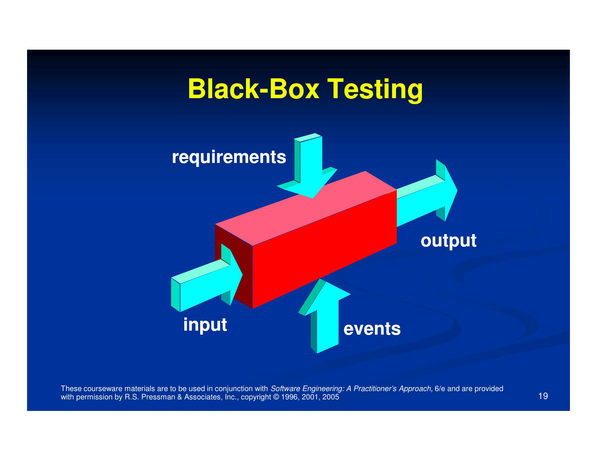

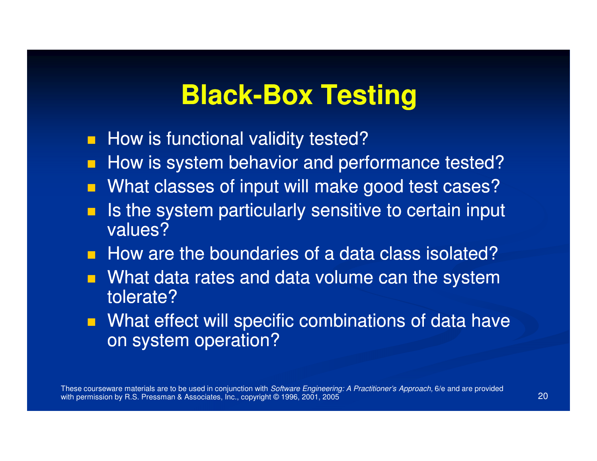# **Black-Box Testing**

- **How is functional validity tested?**
- **How is system behavior and performance tested?**
- **Nhat classes of input will make good test cases?**
- $\blacksquare$  Is the system particularly sensitive to certain input  $\mathcal{L}_{\mathcal{A}}$ values?
- How are the boundaries of a data class isolated?
- **Nhat data rates and data volume can the system** tolerate?
- **Nhat effect will specific combinations of data have** on system operation?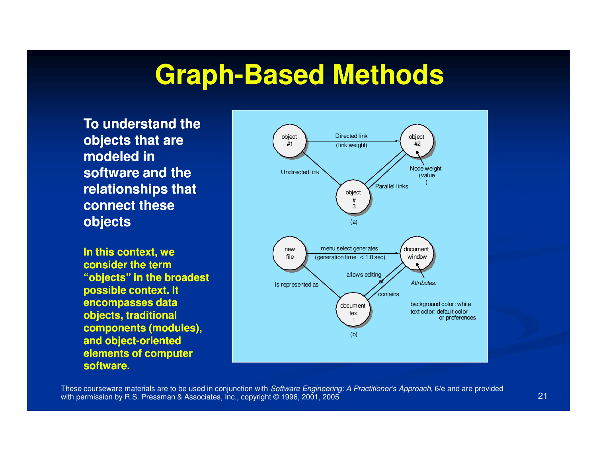# **Graph-Based Methods Based**

**To understand the objects that are modeled in software and the relationships that connect these objects**

**In this context, we consider the term "objects" in the broadest possible context. It encompasses data objects, traditional components (modules), and object object-oriented oriented elements of computer software.**

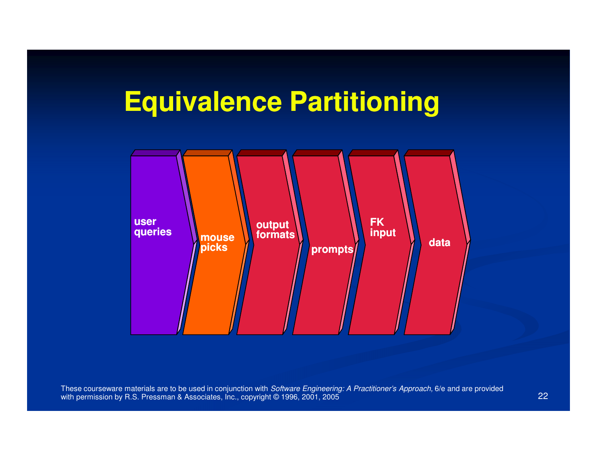# **Equivalence Partitioning**

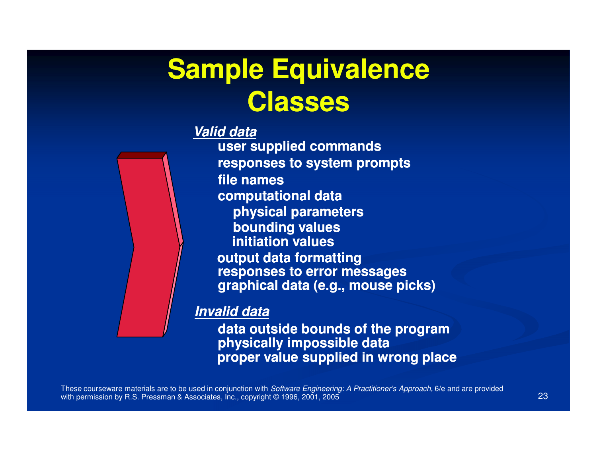# **Sample Equivalence Classes**

#### **Valid data**



**user supplied commands responses to system promptsfile names computational data physical parameters bounding values initiation values output data formatting responses to error messagesgraphical data (e.g., mouse picks)**

#### **Invalid data**

**data outside bounds of the program physically impossible dataproper value supplied in wrong place**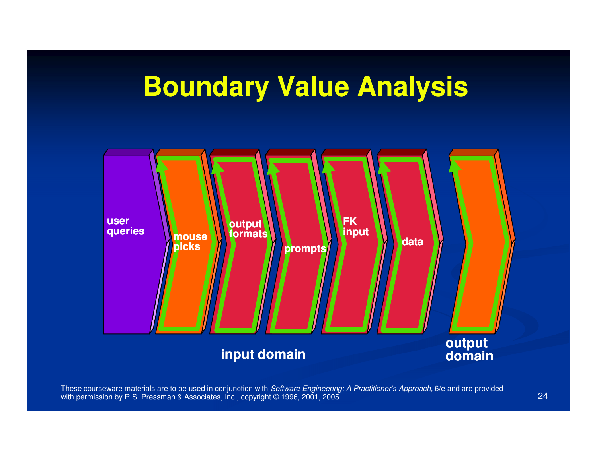## **Boundary Value Analysis**

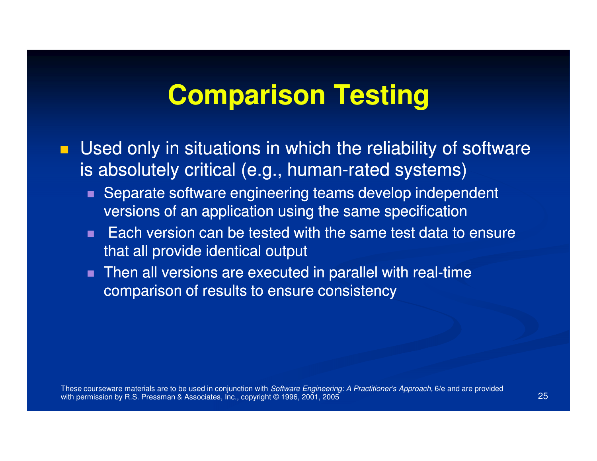#### **Comparison Testing**

- $\blacksquare$  Used only in situations in which the reliability of software is absolutely critical (e.g., human-rated systems)
	- Separate software engineering teams develop independent versions of an application using the same specification
	- Each version can be tested with the same test data to ensure that all provide identical output
	- Then all versions are executed in parallel with real-time comparison of results to ensure consistency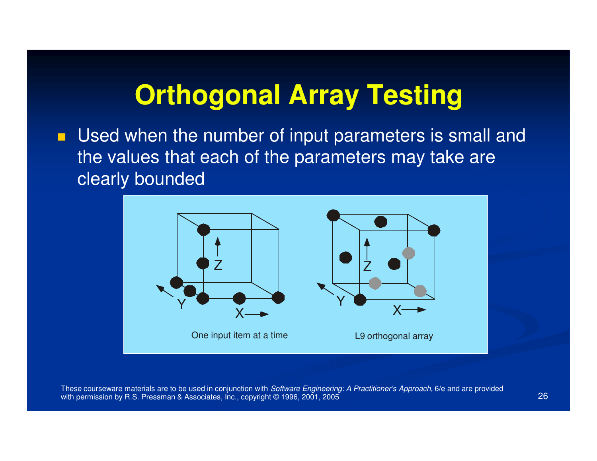## **Orthogonal Array Testing**

**Used when the number of input parameters is small and** the values that each of the parameters may take are clearly bounded

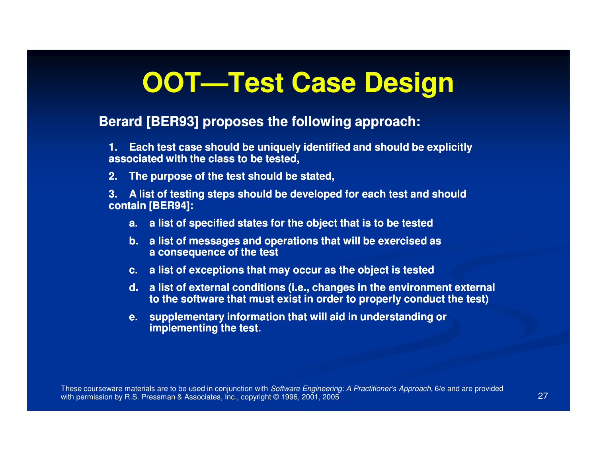# **OOT—Test Case Design Test**

#### **Berard [BER93] proposes the following approach:**

**1.** Each test case should be uniquely identified and should be explicitly  $\overline{\phantom{a}}$ **associated with the class to be tested,**

**2. The purpose of the test should be stated,**

**3. A list of testing steps should be developed for for each test and should h contain [BER94]:**

- **a. a list of specified states for the object that is to be tested <sup>o</sup>**
- **b. a list of messages and operations that will be exercised as cised a consequence of the test**
- **c. a** list of exceptions that may occur as the object is tested
- **d. a list of external conditions (i.e., changes in in the environment external to the software that must exist in order to properly conduct the test)**
- **e.** supplementary information that will aid in understanding or **implementing the test.**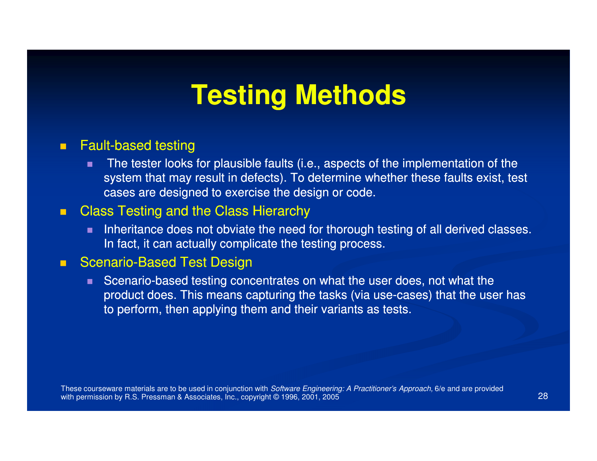# **Testing Methods**

#### $\blacksquare$  $\blacksquare$  Fault-based testing

 The tester looks for plausible faults (i.e., aspects of the implementation of the system that may result in defects). To determine whether these faults exist, test cases are designed to exercise the design or code.

#### $\blacksquare$ Class Testing and the Class Hierarchy

 Inheritance does not obviate the need for thorough testing of all derived classes. In fact, it can actually complicate the testing process.

#### $\blacksquare$ **Based Test Design Based Test Design**

Scenario-based testing concentrates on what the user does, not what the product does. This means capturing the tasks (via use-cases) that the user has to perform, then applying them and their variants as tests.

These courseware materials are to be used in conjunction with *Software Engineering: A Practitioner's Approach,* 6/e and are provided with permission by R.S. Pressman & Associates, Inc., copyright © 1996, 2001, 20055 and 28 and 28 and 28 and 28 and 28 and 28 and 28 and 28 and 28 and 28 and 28 and 28 and 28 and 28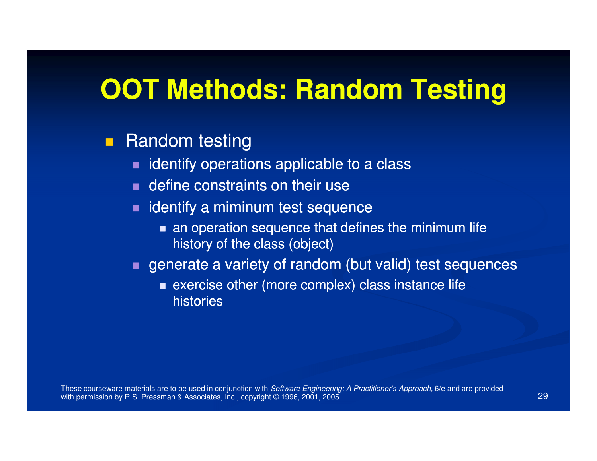#### **OOT Methods: Random Testing**

#### $\blacksquare$ Random testing

- **Indentify operations applicable to a class** п.
- **Example 1** define constraints on their use
- $\blacksquare$  identify a miminum test sequence
	- an operation sequence that defines the minimum life history of the class (object)
- **Exage artical entity of random (but valid) test sequences** 
	- **Exercise other (more complex) class instance life** histories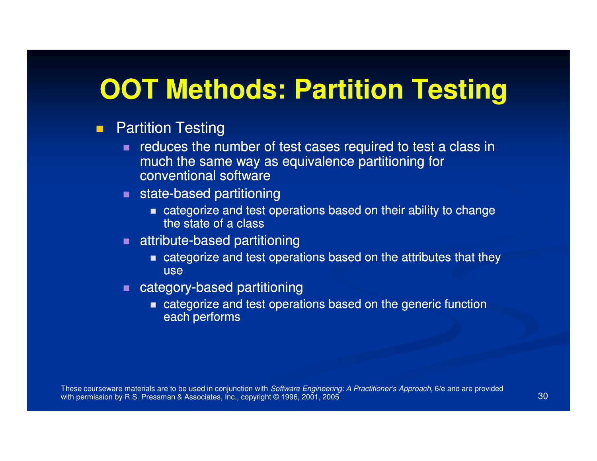### **OOT Methods: Partition Testing**

#### $\blacksquare$ Partition Testing

- reduces the number of test cases required to test a class in  $\blacksquare$ much the same way as equivalence partitioning for conventional software
- $\blacksquare$  state-based partitioning
	- categorize and test operations based on their ability to change the state of a class
- $\blacksquare$  attribute-based partitioning
	- categorize and test operations based on the attributes that they use
- $\blacksquare$  category-based partitioning
	- **EXECTE 20 and test operations based on the generic function** each performs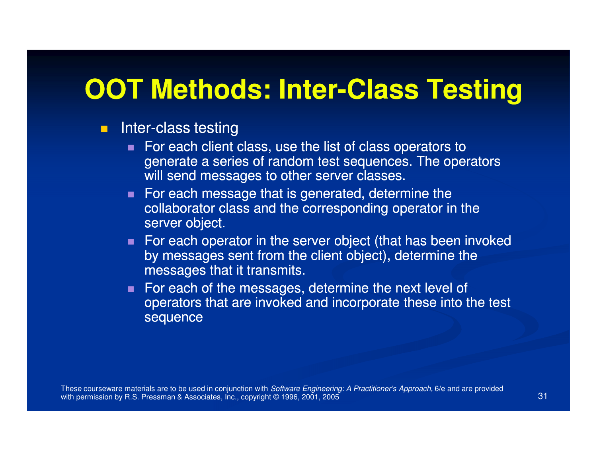# **OOT Methods: Inter-Class Testing**

- $\blacksquare$ **E** Inter-class testing
	- For each client class, use the list of class operators to generate a series of random test sequences. The operators will send messages to other server classes.
	- $\blacksquare$  For each message that is generated, determine the collaborator class and the corresponding operator in the server object.
	- For each operator in the server object (that has been invoked by messages sent from the client object), determine the messages that it transmits.
	- For each of the messages, determine the next level of operators that are invoked and incorporate these into the test sequence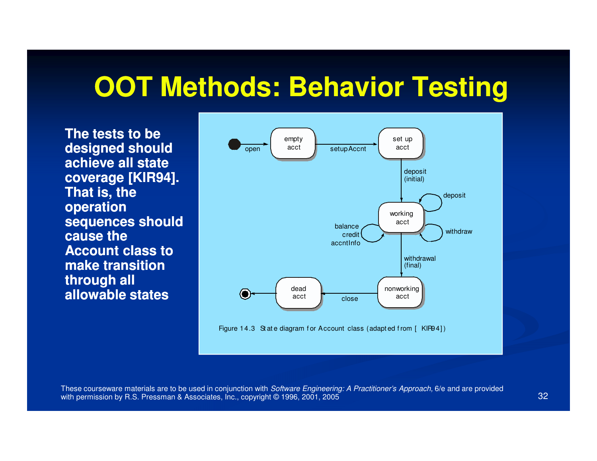### **OOT Methods: Behavior Testing**

**The tests to be designed should achieve all state coverage [KIR94]. That is, the operation sequences should cause the Account class to make transition through all allowable states**



Figure 14.3 St at e diagram for Account class (adapted from [ KIP94])